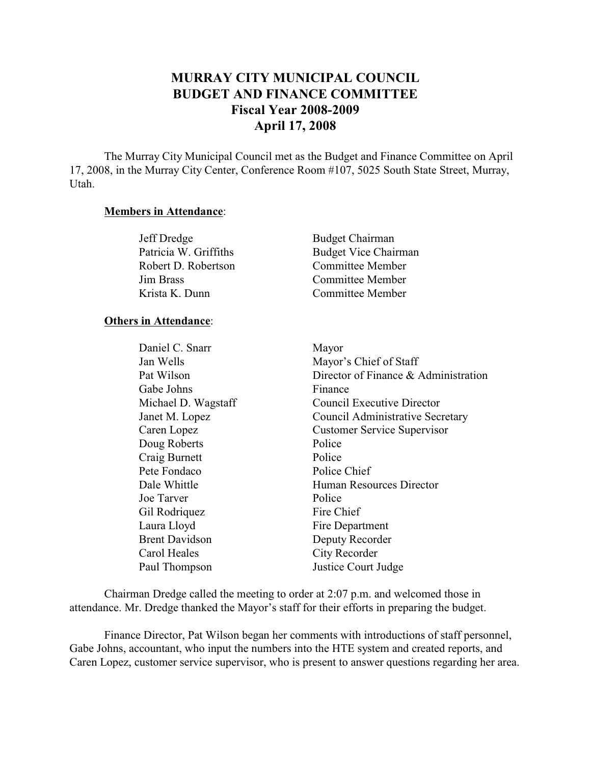# **MURRAY CITY MUNICIPAL COUNCIL BUDGET AND FINANCE COMMITTEE Fiscal Year 2008-2009 April 17, 2008**

The Murray City Municipal Council met as the Budget and Finance Committee on April 17, 2008, in the Murray City Center, Conference Room #107, 5025 South State Street, Murray, Utah.

#### **Members in Attendance**:

| Jeff Dredge           | <b>Budget Chairman</b>      |
|-----------------------|-----------------------------|
| Patricia W. Griffiths | <b>Budget Vice Chairman</b> |
| Robert D. Robertson   | Committee Member            |
| Jim Brass             | Committee Member            |
| Krista K. Dunn        | Committee Member            |

#### **Others in Attendance**:

| Daniel C. Snarr       | Mayor                                |
|-----------------------|--------------------------------------|
| Jan Wells             | Mayor's Chief of Staff               |
| Pat Wilson            | Director of Finance & Administration |
| Gabe Johns            | Finance                              |
| Michael D. Wagstaff   | Council Executive Director           |
| Janet M. Lopez        | Council Administrative Secretary     |
| Caren Lopez           | <b>Customer Service Supervisor</b>   |
| Doug Roberts          | Police                               |
| Craig Burnett         | Police                               |
| Pete Fondaco          | Police Chief                         |
| Dale Whittle          | Human Resources Director             |
| Joe Tarver            | Police                               |
| Gil Rodriquez         | Fire Chief                           |
| Laura Lloyd           | Fire Department                      |
| <b>Brent Davidson</b> | Deputy Recorder                      |
| Carol Heales          | City Recorder                        |
| Paul Thompson         | Justice Court Judge                  |
|                       |                                      |

Chairman Dredge called the meeting to order at 2:07 p.m. and welcomed those in attendance. Mr. Dredge thanked the Mayor's staff for their efforts in preparing the budget.

Finance Director, Pat Wilson began her comments with introductions of staff personnel, Gabe Johns, accountant, who input the numbers into the HTE system and created reports, and Caren Lopez, customer service supervisor, who is present to answer questions regarding her area.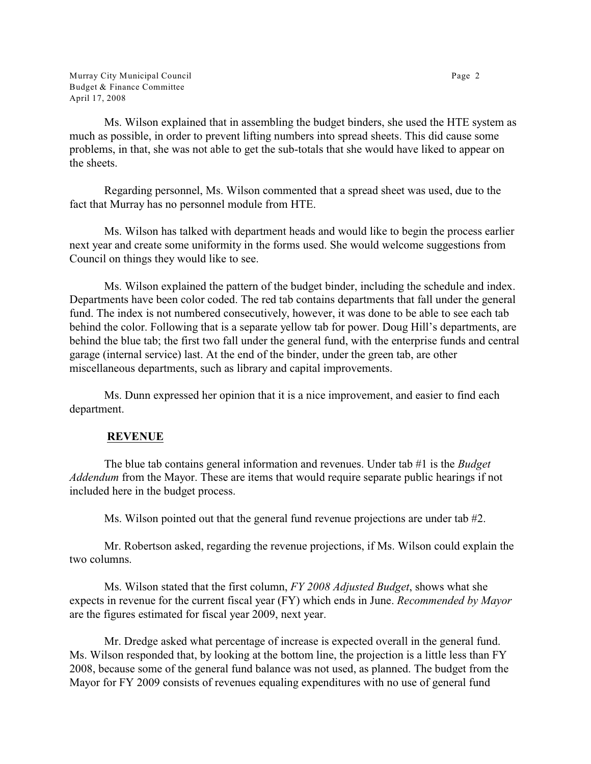Murray City Municipal Council **Page 2 Page 2** Budget & Finance Committee April 17, 2008

Ms. Wilson explained that in assembling the budget binders, she used the HTE system as much as possible, in order to prevent lifting numbers into spread sheets. This did cause some problems, in that, she was not able to get the sub-totals that she would have liked to appear on the sheets.

Regarding personnel, Ms. Wilson commented that a spread sheet was used, due to the fact that Murray has no personnel module from HTE.

Ms. Wilson has talked with department heads and would like to begin the process earlier next year and create some uniformity in the forms used. She would welcome suggestions from Council on things they would like to see.

Ms. Wilson explained the pattern of the budget binder, including the schedule and index. Departments have been color coded. The red tab contains departments that fall under the general fund. The index is not numbered consecutively, however, it was done to be able to see each tab behind the color. Following that is a separate yellow tab for power. Doug Hill's departments, are behind the blue tab; the first two fall under the general fund, with the enterprise funds and central garage (internal service) last. At the end of the binder, under the green tab, are other miscellaneous departments, such as library and capital improvements.

Ms. Dunn expressed her opinion that it is a nice improvement, and easier to find each department.

# **REVENUE**

The blue tab contains general information and revenues. Under tab #1 is the *Budget Addendum* from the Mayor. These are items that would require separate public hearings if not included here in the budget process.

Ms. Wilson pointed out that the general fund revenue projections are under tab #2.

Mr. Robertson asked, regarding the revenue projections, if Ms. Wilson could explain the two columns.

Ms. Wilson stated that the first column, *FY 2008 Adjusted Budget*, shows what she expects in revenue for the current fiscal year (FY) which ends in June. *Recommended by Mayor* are the figures estimated for fiscal year 2009, next year.

Mr. Dredge asked what percentage of increase is expected overall in the general fund. Ms. Wilson responded that, by looking at the bottom line, the projection is a little less than FY 2008, because some of the general fund balance was not used, as planned. The budget from the Mayor for FY 2009 consists of revenues equaling expenditures with no use of general fund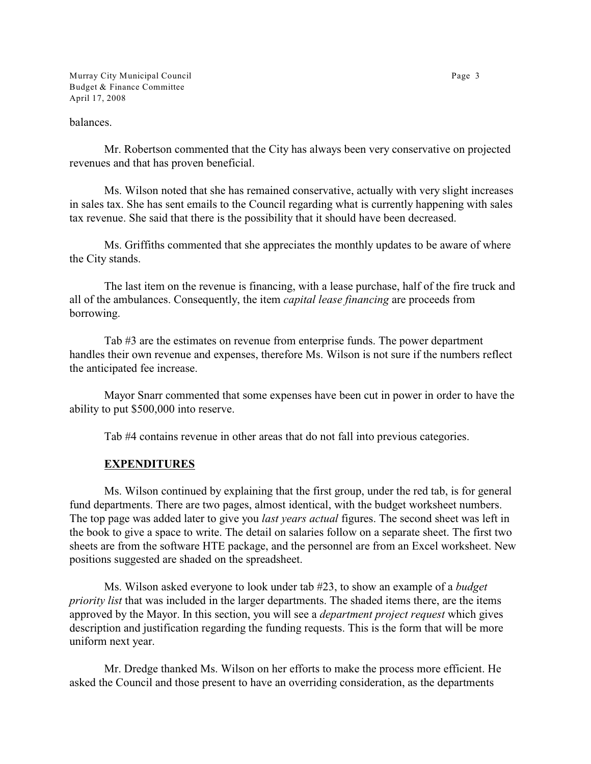Murray City Municipal Council **Page 3** Page 3 Budget & Finance Committee April 17, 2008

#### balances.

Mr. Robertson commented that the City has always been very conservative on projected revenues and that has proven beneficial.

Ms. Wilson noted that she has remained conservative, actually with very slight increases in sales tax. She has sent emails to the Council regarding what is currently happening with sales tax revenue. She said that there is the possibility that it should have been decreased.

Ms. Griffiths commented that she appreciates the monthly updates to be aware of where the City stands.

The last item on the revenue is financing, with a lease purchase, half of the fire truck and all of the ambulances. Consequently, the item *capital lease financing* are proceeds from borrowing.

Tab #3 are the estimates on revenue from enterprise funds. The power department handles their own revenue and expenses, therefore Ms. Wilson is not sure if the numbers reflect the anticipated fee increase.

Mayor Snarr commented that some expenses have been cut in power in order to have the ability to put \$500,000 into reserve.

Tab #4 contains revenue in other areas that do not fall into previous categories.

#### **EXPENDITURES**

Ms. Wilson continued by explaining that the first group, under the red tab, is for general fund departments. There are two pages, almost identical, with the budget worksheet numbers. The top page was added later to give you *last years actual* figures. The second sheet was left in the book to give a space to write. The detail on salaries follow on a separate sheet. The first two sheets are from the software HTE package, and the personnel are from an Excel worksheet. New positions suggested are shaded on the spreadsheet.

Ms. Wilson asked everyone to look under tab #23, to show an example of a *budget priority list* that was included in the larger departments. The shaded items there, are the items approved by the Mayor. In this section, you will see a *department project request* which gives description and justification regarding the funding requests. This is the form that will be more uniform next year.

Mr. Dredge thanked Ms. Wilson on her efforts to make the process more efficient. He asked the Council and those present to have an overriding consideration, as the departments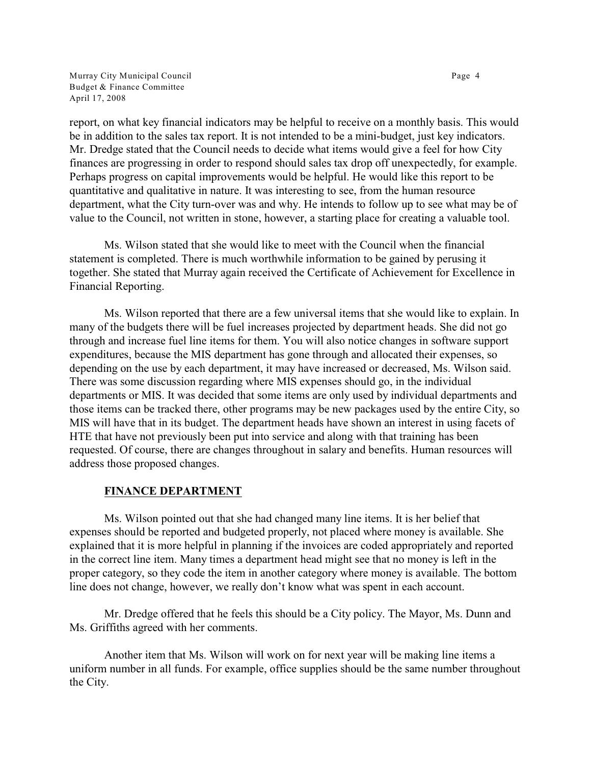Murray City Municipal Council **Page 4** and the state of the state of the Page 4 and the Page 4 and the Page 4 and the Page 4 and the Page 4 and the Page 4 and the Page 4 and the Page 4 and the Page 4 and the Page 4 and the Budget & Finance Committee April 17, 2008

report, on what key financial indicators may be helpful to receive on a monthly basis. This would be in addition to the sales tax report. It is not intended to be a mini-budget, just key indicators. Mr. Dredge stated that the Council needs to decide what items would give a feel for how City finances are progressing in order to respond should sales tax drop off unexpectedly, for example. Perhaps progress on capital improvements would be helpful. He would like this report to be quantitative and qualitative in nature. It was interesting to see, from the human resource department, what the City turn-over was and why. He intends to follow up to see what may be of value to the Council, not written in stone, however, a starting place for creating a valuable tool.

Ms. Wilson stated that she would like to meet with the Council when the financial statement is completed. There is much worthwhile information to be gained by perusing it together. She stated that Murray again received the Certificate of Achievement for Excellence in Financial Reporting.

Ms. Wilson reported that there are a few universal items that she would like to explain. In many of the budgets there will be fuel increases projected by department heads. She did not go through and increase fuel line items for them. You will also notice changes in software support expenditures, because the MIS department has gone through and allocated their expenses, so depending on the use by each department, it may have increased or decreased, Ms. Wilson said. There was some discussion regarding where MIS expenses should go, in the individual departments or MIS. It was decided that some items are only used by individual departments and those items can be tracked there, other programs may be new packages used by the entire City, so MIS will have that in its budget. The department heads have shown an interest in using facets of HTE that have not previously been put into service and along with that training has been requested. Of course, there are changes throughout in salary and benefits. Human resources will address those proposed changes.

# **FINANCE DEPARTMENT**

Ms. Wilson pointed out that she had changed many line items. It is her belief that expenses should be reported and budgeted properly, not placed where money is available. She explained that it is more helpful in planning if the invoices are coded appropriately and reported in the correct line item. Many times a department head might see that no money is left in the proper category, so they code the item in another category where money is available. The bottom line does not change, however, we really don't know what was spent in each account.

Mr. Dredge offered that he feels this should be a City policy. The Mayor, Ms. Dunn and Ms. Griffiths agreed with her comments.

Another item that Ms. Wilson will work on for next year will be making line items a uniform number in all funds. For example, office supplies should be the same number throughout the City.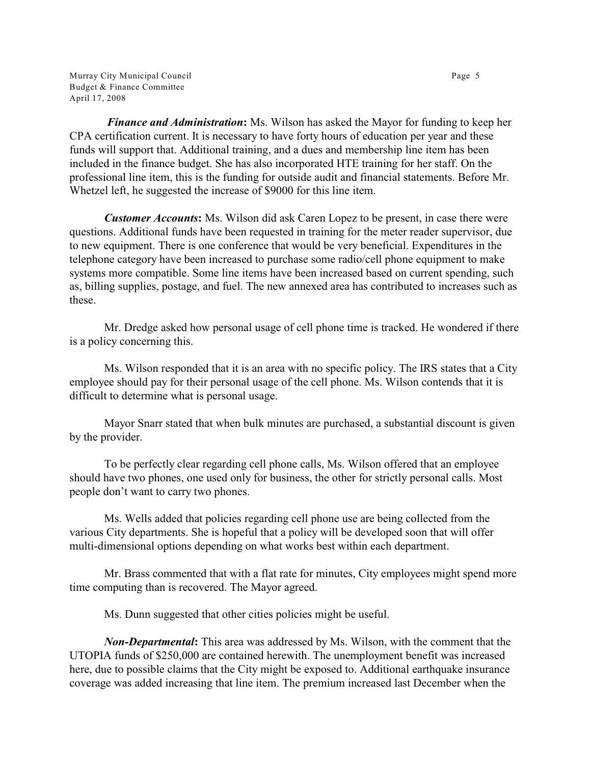Murray City Municipal Council **Page 5** and the control page 5 and the control page 5 and the control page 5 and the control page 5 and the control page 5 and the control page 5 and the control page 5 and the control page 5 Budget & Finance Committee April 17, 2008

*Finance and Administration***:** Ms. Wilson has asked the Mayor for funding to keep her CPA certification current. It is necessary to have forty hours of education per year and these funds will support that. Additional training, and a dues and membership line item has been included in the finance budget. She has also incorporated HTE training for her staff. On the professional line item, this is the funding for outside audit and financial statements. Before Mr. Whetzel left, he suggested the increase of \$9000 for this line item.

*Customer Accounts***:** Ms. Wilson did ask Caren Lopez to be present, in case there were questions. Additional funds have been requested in training for the meter reader supervisor, due to new equipment. There is one conference that would be very beneficial. Expenditures in the telephone category have been increased to purchase some radio/cell phone equipment to make systems more compatible. Some line items have been increased based on current spending, such as, billing supplies, postage, and fuel. The new annexed area has contributed to increases such as these.

Mr. Dredge asked how personal usage of cell phone time is tracked. He wondered if there is a policy concerning this.

Ms. Wilson responded that it is an area with no specific policy. The IRS states that a City employee should pay for their personal usage of the cell phone. Ms. Wilson contends that it is difficult to determine what is personal usage.

Mayor Snarr stated that when bulk minutes are purchased, a substantial discount is given by the provider.

To be perfectly clear regarding cell phone calls, Ms. Wilson offered that an employee should have two phones, one used only for business, the other for strictly personal calls. Most people don't want to carry two phones.

Ms. Wells added that policies regarding cell phone use are being collected from the various City departments. She is hopeful that a policy will be developed soon that will offer multi-dimensional options depending on what works best within each department.

Mr. Brass commented that with a flat rate for minutes, City employees might spend more time computing than is recovered. The Mayor agreed.

Ms. Dunn suggested that other cities policies might be useful.

*Non-Departmental***:** This area was addressed by Ms. Wilson, with the comment that the UTOPIA funds of \$250,000 are contained herewith. The unemployment benefit was increased here, due to possible claims that the City might be exposed to. Additional earthquake insurance coverage was added increasing that line item. The premium increased last December when the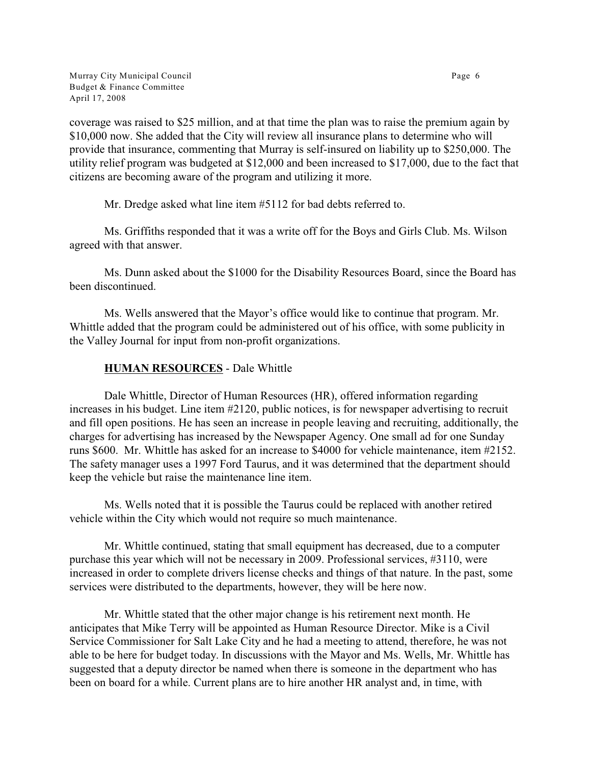Murray City Municipal Council **Page 6** Budget & Finance Committee April 17, 2008

coverage was raised to \$25 million, and at that time the plan was to raise the premium again by \$10,000 now. She added that the City will review all insurance plans to determine who will provide that insurance, commenting that Murray is self-insured on liability up to \$250,000. The utility relief program was budgeted at \$12,000 and been increased to \$17,000, due to the fact that citizens are becoming aware of the program and utilizing it more.

Mr. Dredge asked what line item #5112 for bad debts referred to.

Ms. Griffiths responded that it was a write off for the Boys and Girls Club. Ms. Wilson agreed with that answer.

Ms. Dunn asked about the \$1000 for the Disability Resources Board, since the Board has been discontinued.

Ms. Wells answered that the Mayor's office would like to continue that program. Mr. Whittle added that the program could be administered out of his office, with some publicity in the Valley Journal for input from non-profit organizations.

# **HUMAN RESOURCES** - Dale Whittle

Dale Whittle, Director of Human Resources (HR), offered information regarding increases in his budget. Line item #2120, public notices, is for newspaper advertising to recruit and fill open positions. He has seen an increase in people leaving and recruiting, additionally, the charges for advertising has increased by the Newspaper Agency. One small ad for one Sunday runs \$600. Mr. Whittle has asked for an increase to \$4000 for vehicle maintenance, item #2152. The safety manager uses a 1997 Ford Taurus, and it was determined that the department should keep the vehicle but raise the maintenance line item.

Ms. Wells noted that it is possible the Taurus could be replaced with another retired vehicle within the City which would not require so much maintenance.

Mr. Whittle continued, stating that small equipment has decreased, due to a computer purchase this year which will not be necessary in 2009. Professional services, #3110, were increased in order to complete drivers license checks and things of that nature. In the past, some services were distributed to the departments, however, they will be here now.

Mr. Whittle stated that the other major change is his retirement next month. He anticipates that Mike Terry will be appointed as Human Resource Director. Mike is a Civil Service Commissioner for Salt Lake City and he had a meeting to attend, therefore, he was not able to be here for budget today. In discussions with the Mayor and Ms. Wells, Mr. Whittle has suggested that a deputy director be named when there is someone in the department who has been on board for a while. Current plans are to hire another HR analyst and, in time, with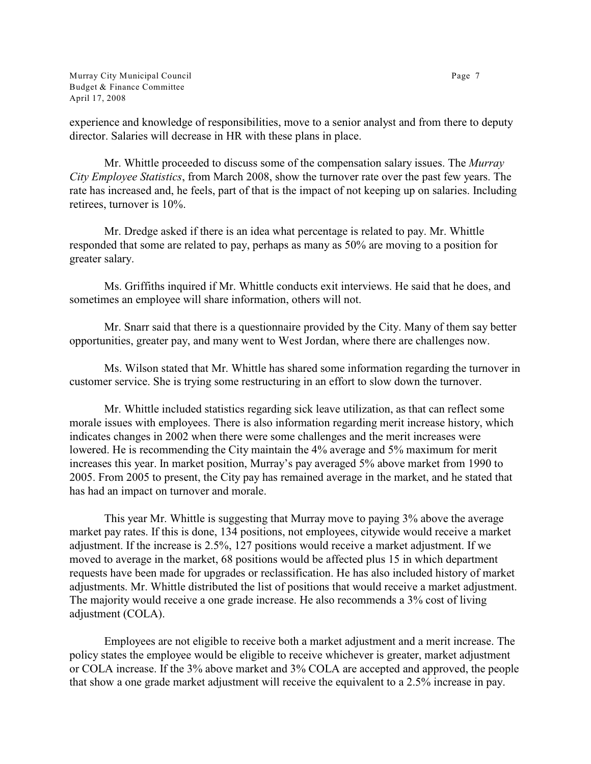Murray City Municipal Council **Page 7** and  $P$  and  $P$  and  $P$  and  $P$  and  $P$  and  $P$  and  $P$  and  $P$  and  $P$  and  $P$  and  $P$  and  $P$  and  $P$  and  $P$  and  $P$  and  $P$  and  $P$  and  $P$  and  $P$  and  $P$  and  $P$  and  $P$  and  $P$ Budget & Finance Committee April 17, 2008

experience and knowledge of responsibilities, move to a senior analyst and from there to deputy director. Salaries will decrease in HR with these plans in place.

Mr. Whittle proceeded to discuss some of the compensation salary issues. The *Murray City Employee Statistics*, from March 2008, show the turnover rate over the past few years. The rate has increased and, he feels, part of that is the impact of not keeping up on salaries. Including retirees, turnover is 10%.

Mr. Dredge asked if there is an idea what percentage is related to pay. Mr. Whittle responded that some are related to pay, perhaps as many as 50% are moving to a position for greater salary.

Ms. Griffiths inquired if Mr. Whittle conducts exit interviews. He said that he does, and sometimes an employee will share information, others will not.

Mr. Snarr said that there is a questionnaire provided by the City. Many of them say better opportunities, greater pay, and many went to West Jordan, where there are challenges now.

Ms. Wilson stated that Mr. Whittle has shared some information regarding the turnover in customer service. She is trying some restructuring in an effort to slow down the turnover.

Mr. Whittle included statistics regarding sick leave utilization, as that can reflect some morale issues with employees. There is also information regarding merit increase history, which indicates changes in 2002 when there were some challenges and the merit increases were lowered. He is recommending the City maintain the 4% average and 5% maximum for merit increases this year. In market position, Murray's pay averaged 5% above market from 1990 to 2005. From 2005 to present, the City pay has remained average in the market, and he stated that has had an impact on turnover and morale.

This year Mr. Whittle is suggesting that Murray move to paying 3% above the average market pay rates. If this is done, 134 positions, not employees, citywide would receive a market adjustment. If the increase is 2.5%, 127 positions would receive a market adjustment. If we moved to average in the market, 68 positions would be affected plus 15 in which department requests have been made for upgrades or reclassification. He has also included history of market adjustments. Mr. Whittle distributed the list of positions that would receive a market adjustment. The majority would receive a one grade increase. He also recommends a 3% cost of living adjustment (COLA).

Employees are not eligible to receive both a market adjustment and a merit increase. The policy states the employee would be eligible to receive whichever is greater, market adjustment or COLA increase. If the 3% above market and 3% COLA are accepted and approved, the people that show a one grade market adjustment will receive the equivalent to a 2.5% increase in pay.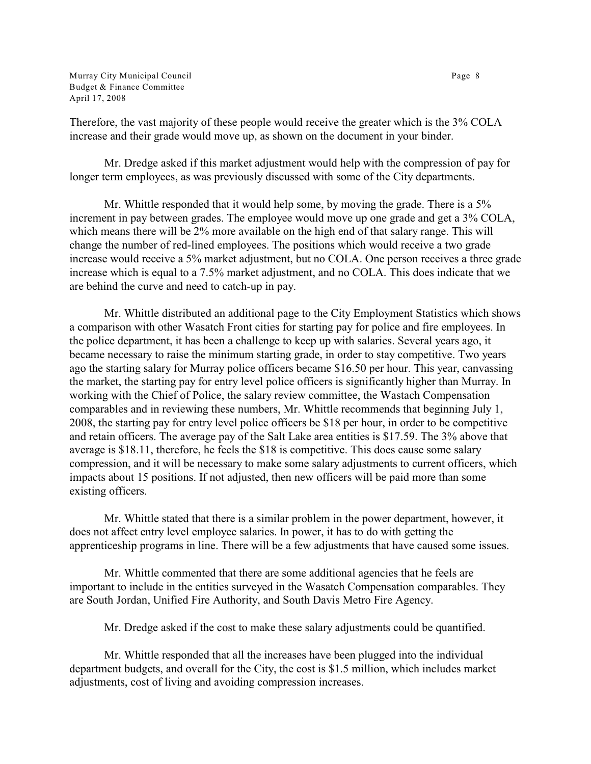Murray City Municipal Council **Page 8** and the set of the set of the set of the set of the set of the set of the set of the set of the set of the set of the set of the set of the set of the set of the set of the set of the Budget & Finance Committee April 17, 2008

Therefore, the vast majority of these people would receive the greater which is the 3% COLA increase and their grade would move up, as shown on the document in your binder.

Mr. Dredge asked if this market adjustment would help with the compression of pay for longer term employees, as was previously discussed with some of the City departments.

Mr. Whittle responded that it would help some, by moving the grade. There is a 5% increment in pay between grades. The employee would move up one grade and get a 3% COLA, which means there will be 2% more available on the high end of that salary range. This will change the number of red-lined employees. The positions which would receive a two grade increase would receive a 5% market adjustment, but no COLA. One person receives a three grade increase which is equal to a 7.5% market adjustment, and no COLA. This does indicate that we are behind the curve and need to catch-up in pay.

Mr. Whittle distributed an additional page to the City Employment Statistics which shows a comparison with other Wasatch Front cities for starting pay for police and fire employees. In the police department, it has been a challenge to keep up with salaries. Several years ago, it became necessary to raise the minimum starting grade, in order to stay competitive. Two years ago the starting salary for Murray police officers became \$16.50 per hour. This year, canvassing the market, the starting pay for entry level police officers is significantly higher than Murray. In working with the Chief of Police, the salary review committee, the Wastach Compensation comparables and in reviewing these numbers, Mr. Whittle recommends that beginning July 1, 2008, the starting pay for entry level police officers be \$18 per hour, in order to be competitive and retain officers. The average pay of the Salt Lake area entities is \$17.59. The 3% above that average is \$18.11, therefore, he feels the \$18 is competitive. This does cause some salary compression, and it will be necessary to make some salary adjustments to current officers, which impacts about 15 positions. If not adjusted, then new officers will be paid more than some existing officers.

Mr. Whittle stated that there is a similar problem in the power department, however, it does not affect entry level employee salaries. In power, it has to do with getting the apprenticeship programs in line. There will be a few adjustments that have caused some issues.

Mr. Whittle commented that there are some additional agencies that he feels are important to include in the entities surveyed in the Wasatch Compensation comparables. They are South Jordan, Unified Fire Authority, and South Davis Metro Fire Agency.

Mr. Dredge asked if the cost to make these salary adjustments could be quantified.

Mr. Whittle responded that all the increases have been plugged into the individual department budgets, and overall for the City, the cost is \$1.5 million, which includes market adjustments, cost of living and avoiding compression increases.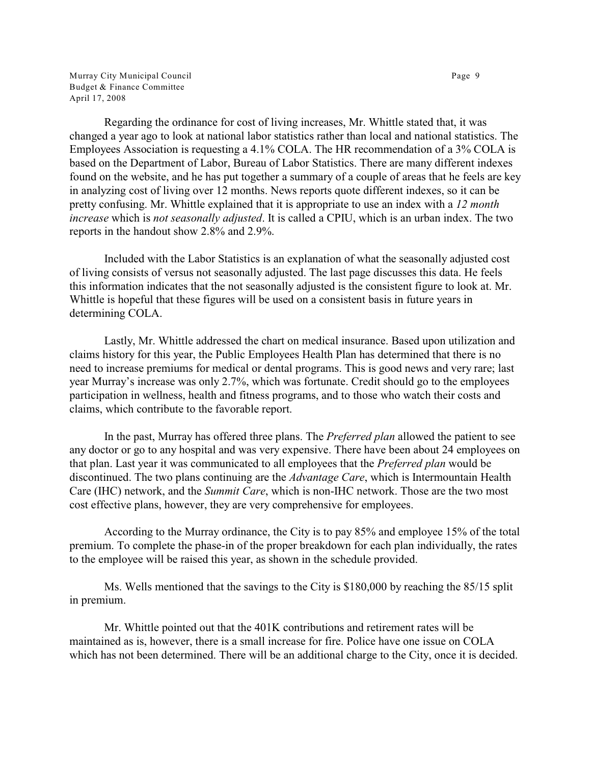Murray City Municipal Council **Page 9** and the control of the control of the Page 9 Budget & Finance Committee April 17, 2008

Regarding the ordinance for cost of living increases, Mr. Whittle stated that, it was changed a year ago to look at national labor statistics rather than local and national statistics. The Employees Association is requesting a 4.1% COLA. The HR recommendation of a 3% COLA is based on the Department of Labor, Bureau of Labor Statistics. There are many different indexes found on the website, and he has put together a summary of a couple of areas that he feels are key in analyzing cost of living over 12 months. News reports quote different indexes, so it can be pretty confusing. Mr. Whittle explained that it is appropriate to use an index with a *12 month increase* which is *not seasonally adjusted*. It is called a CPIU, which is an urban index. The two reports in the handout show 2.8% and 2.9%.

Included with the Labor Statistics is an explanation of what the seasonally adjusted cost of living consists of versus not seasonally adjusted. The last page discusses this data. He feels this information indicates that the not seasonally adjusted is the consistent figure to look at. Mr. Whittle is hopeful that these figures will be used on a consistent basis in future years in determining COLA.

Lastly, Mr. Whittle addressed the chart on medical insurance. Based upon utilization and claims history for this year, the Public Employees Health Plan has determined that there is no need to increase premiums for medical or dental programs. This is good news and very rare; last year Murray's increase was only 2.7%, which was fortunate. Credit should go to the employees participation in wellness, health and fitness programs, and to those who watch their costs and claims, which contribute to the favorable report.

In the past, Murray has offered three plans. The *Preferred plan* allowed the patient to see any doctor or go to any hospital and was very expensive. There have been about 24 employees on that plan. Last year it was communicated to all employees that the *Preferred plan* would be discontinued. The two plans continuing are the *Advantage Care*, which is Intermountain Health Care (IHC) network, and the *Summit Care*, which is non-IHC network. Those are the two most cost effective plans, however, they are very comprehensive for employees.

According to the Murray ordinance, the City is to pay 85% and employee 15% of the total premium. To complete the phase-in of the proper breakdown for each plan individually, the rates to the employee will be raised this year, as shown in the schedule provided.

Ms. Wells mentioned that the savings to the City is \$180,000 by reaching the 85/15 split in premium.

Mr. Whittle pointed out that the 401K contributions and retirement rates will be maintained as is, however, there is a small increase for fire. Police have one issue on COLA which has not been determined. There will be an additional charge to the City, once it is decided.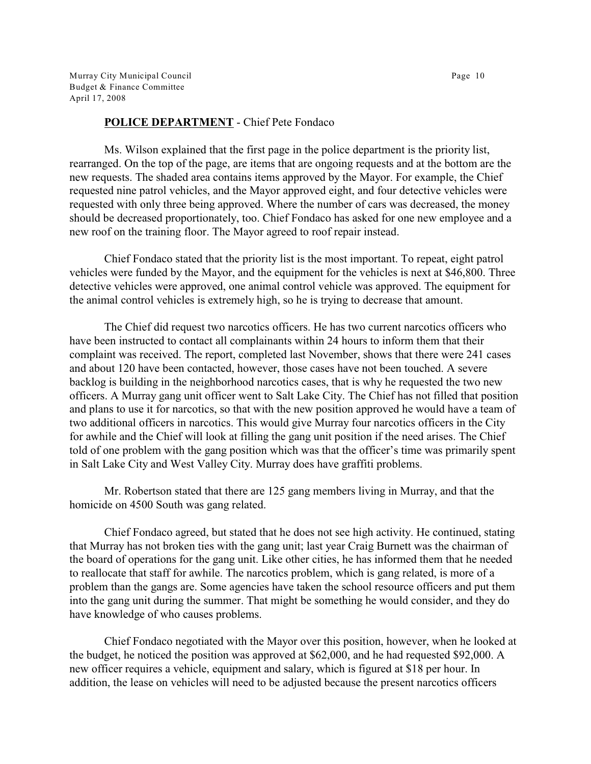Murray City Municipal Council **Page 10** Budget & Finance Committee April 17, 2008

#### **POLICE DEPARTMENT** - Chief Pete Fondaco

Ms. Wilson explained that the first page in the police department is the priority list, rearranged. On the top of the page, are items that are ongoing requests and at the bottom are the new requests. The shaded area contains items approved by the Mayor. For example, the Chief requested nine patrol vehicles, and the Mayor approved eight, and four detective vehicles were requested with only three being approved. Where the number of cars was decreased, the money should be decreased proportionately, too. Chief Fondaco has asked for one new employee and a new roof on the training floor. The Mayor agreed to roof repair instead.

Chief Fondaco stated that the priority list is the most important. To repeat, eight patrol vehicles were funded by the Mayor, and the equipment for the vehicles is next at \$46,800. Three detective vehicles were approved, one animal control vehicle was approved. The equipment for the animal control vehicles is extremely high, so he is trying to decrease that amount.

The Chief did request two narcotics officers. He has two current narcotics officers who have been instructed to contact all complainants within 24 hours to inform them that their complaint was received. The report, completed last November, shows that there were 241 cases and about 120 have been contacted, however, those cases have not been touched. A severe backlog is building in the neighborhood narcotics cases, that is why he requested the two new officers. A Murray gang unit officer went to Salt Lake City. The Chief has not filled that position and plans to use it for narcotics, so that with the new position approved he would have a team of two additional officers in narcotics. This would give Murray four narcotics officers in the City for awhile and the Chief will look at filling the gang unit position if the need arises. The Chief told of one problem with the gang position which was that the officer's time was primarily spent in Salt Lake City and West Valley City. Murray does have graffiti problems.

Mr. Robertson stated that there are 125 gang members living in Murray, and that the homicide on 4500 South was gang related.

Chief Fondaco agreed, but stated that he does not see high activity. He continued, stating that Murray has not broken ties with the gang unit; last year Craig Burnett was the chairman of the board of operations for the gang unit. Like other cities, he has informed them that he needed to reallocate that staff for awhile. The narcotics problem, which is gang related, is more of a problem than the gangs are. Some agencies have taken the school resource officers and put them into the gang unit during the summer. That might be something he would consider, and they do have knowledge of who causes problems.

Chief Fondaco negotiated with the Mayor over this position, however, when he looked at the budget, he noticed the position was approved at \$62,000, and he had requested \$92,000. A new officer requires a vehicle, equipment and salary, which is figured at \$18 per hour. In addition, the lease on vehicles will need to be adjusted because the present narcotics officers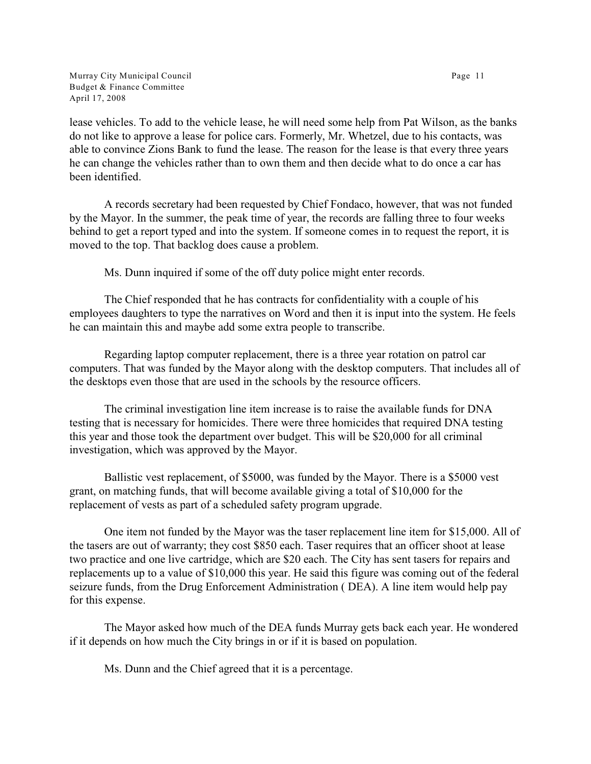Murray City Municipal Council **Page 11** Budget & Finance Committee April 17, 2008

lease vehicles. To add to the vehicle lease, he will need some help from Pat Wilson, as the banks do not like to approve a lease for police cars. Formerly, Mr. Whetzel, due to his contacts, was able to convince Zions Bank to fund the lease. The reason for the lease is that every three years he can change the vehicles rather than to own them and then decide what to do once a car has been identified.

A records secretary had been requested by Chief Fondaco, however, that was not funded by the Mayor. In the summer, the peak time of year, the records are falling three to four weeks behind to get a report typed and into the system. If someone comes in to request the report, it is moved to the top. That backlog does cause a problem.

Ms. Dunn inquired if some of the off duty police might enter records.

The Chief responded that he has contracts for confidentiality with a couple of his employees daughters to type the narratives on Word and then it is input into the system. He feels he can maintain this and maybe add some extra people to transcribe.

Regarding laptop computer replacement, there is a three year rotation on patrol car computers. That was funded by the Mayor along with the desktop computers. That includes all of the desktops even those that are used in the schools by the resource officers.

The criminal investigation line item increase is to raise the available funds for DNA testing that is necessary for homicides. There were three homicides that required DNA testing this year and those took the department over budget. This will be \$20,000 for all criminal investigation, which was approved by the Mayor.

Ballistic vest replacement, of \$5000, was funded by the Mayor. There is a \$5000 vest grant, on matching funds, that will become available giving a total of \$10,000 for the replacement of vests as part of a scheduled safety program upgrade.

One item not funded by the Mayor was the taser replacement line item for \$15,000. All of the tasers are out of warranty; they cost \$850 each. Taser requires that an officer shoot at lease two practice and one live cartridge, which are \$20 each. The City has sent tasers for repairs and replacements up to a value of \$10,000 this year. He said this figure was coming out of the federal seizure funds, from the Drug Enforcement Administration ( DEA). A line item would help pay for this expense.

The Mayor asked how much of the DEA funds Murray gets back each year. He wondered if it depends on how much the City brings in or if it is based on population.

Ms. Dunn and the Chief agreed that it is a percentage.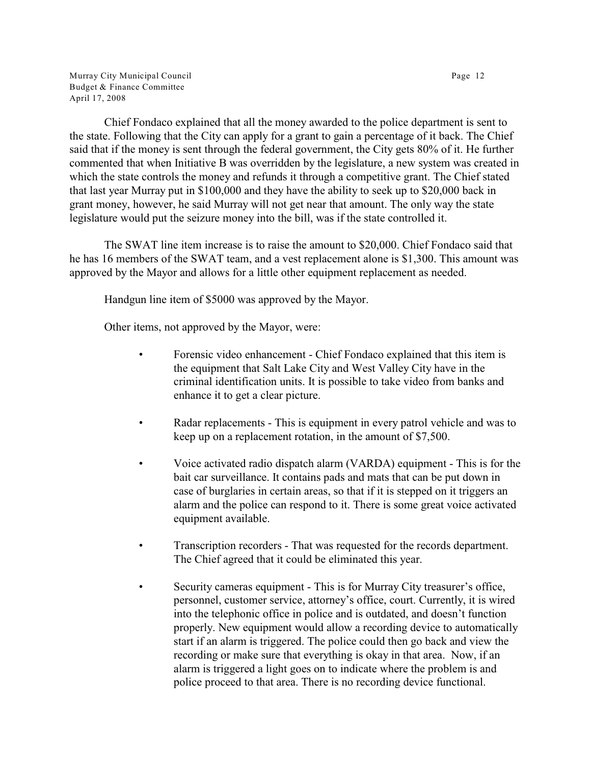Murray City Municipal Council **Page 12** Budget & Finance Committee April 17, 2008

Chief Fondaco explained that all the money awarded to the police department is sent to the state. Following that the City can apply for a grant to gain a percentage of it back. The Chief said that if the money is sent through the federal government, the City gets 80% of it. He further commented that when Initiative B was overridden by the legislature, a new system was created in which the state controls the money and refunds it through a competitive grant. The Chief stated that last year Murray put in \$100,000 and they have the ability to seek up to \$20,000 back in grant money, however, he said Murray will not get near that amount. The only way the state legislature would put the seizure money into the bill, was if the state controlled it.

The SWAT line item increase is to raise the amount to \$20,000. Chief Fondaco said that he has 16 members of the SWAT team, and a vest replacement alone is \$1,300. This amount was approved by the Mayor and allows for a little other equipment replacement as needed.

Handgun line item of \$5000 was approved by the Mayor.

Other items, not approved by the Mayor, were:

- Forensic video enhancement Chief Fondaco explained that this item is the equipment that Salt Lake City and West Valley City have in the criminal identification units. It is possible to take video from banks and enhance it to get a clear picture.
- Radar replacements This is equipment in every patrol vehicle and was to keep up on a replacement rotation, in the amount of \$7,500.
- Voice activated radio dispatch alarm (VARDA) equipment This is for the bait car surveillance. It contains pads and mats that can be put down in case of burglaries in certain areas, so that if it is stepped on it triggers an alarm and the police can respond to it. There is some great voice activated equipment available.
- Transcription recorders That was requested for the records department. The Chief agreed that it could be eliminated this year.
- Security cameras equipment This is for Murray City treasurer's office, personnel, customer service, attorney's office, court. Currently, it is wired into the telephonic office in police and is outdated, and doesn't function properly. New equipment would allow a recording device to automatically start if an alarm is triggered. The police could then go back and view the recording or make sure that everything is okay in that area. Now, if an alarm is triggered a light goes on to indicate where the problem is and police proceed to that area. There is no recording device functional.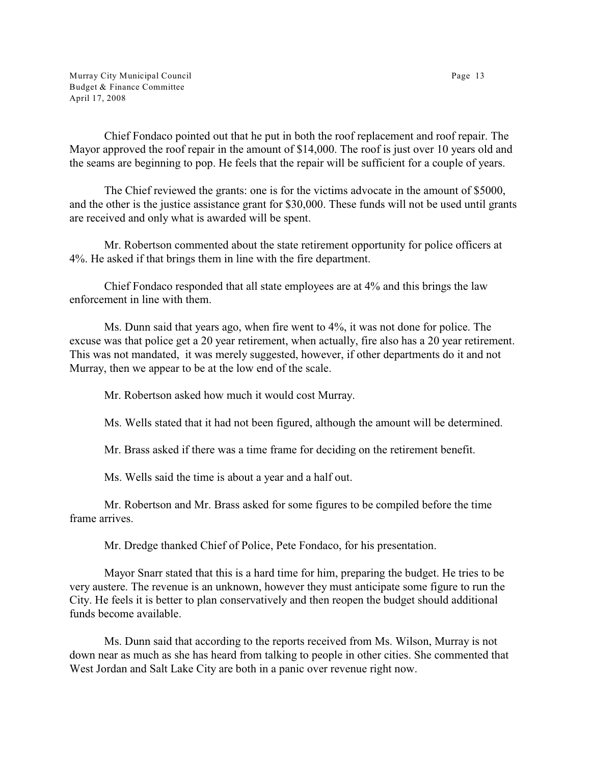Murray City Municipal Council **Page 13** Budget & Finance Committee April 17, 2008

Chief Fondaco pointed out that he put in both the roof replacement and roof repair. The Mayor approved the roof repair in the amount of \$14,000. The roof is just over 10 years old and the seams are beginning to pop. He feels that the repair will be sufficient for a couple of years.

The Chief reviewed the grants: one is for the victims advocate in the amount of \$5000, and the other is the justice assistance grant for \$30,000. These funds will not be used until grants are received and only what is awarded will be spent.

Mr. Robertson commented about the state retirement opportunity for police officers at 4%. He asked if that brings them in line with the fire department.

Chief Fondaco responded that all state employees are at 4% and this brings the law enforcement in line with them.

Ms. Dunn said that years ago, when fire went to 4%, it was not done for police. The excuse was that police get a 20 year retirement, when actually, fire also has a 20 year retirement. This was not mandated, it was merely suggested, however, if other departments do it and not Murray, then we appear to be at the low end of the scale.

Mr. Robertson asked how much it would cost Murray.

Ms. Wells stated that it had not been figured, although the amount will be determined.

Mr. Brass asked if there was a time frame for deciding on the retirement benefit.

Ms. Wells said the time is about a year and a half out.

Mr. Robertson and Mr. Brass asked for some figures to be compiled before the time frame arrives.

Mr. Dredge thanked Chief of Police, Pete Fondaco, for his presentation.

Mayor Snarr stated that this is a hard time for him, preparing the budget. He tries to be very austere. The revenue is an unknown, however they must anticipate some figure to run the City. He feels it is better to plan conservatively and then reopen the budget should additional funds become available.

Ms. Dunn said that according to the reports received from Ms. Wilson, Murray is not down near as much as she has heard from talking to people in other cities. She commented that West Jordan and Salt Lake City are both in a panic over revenue right now.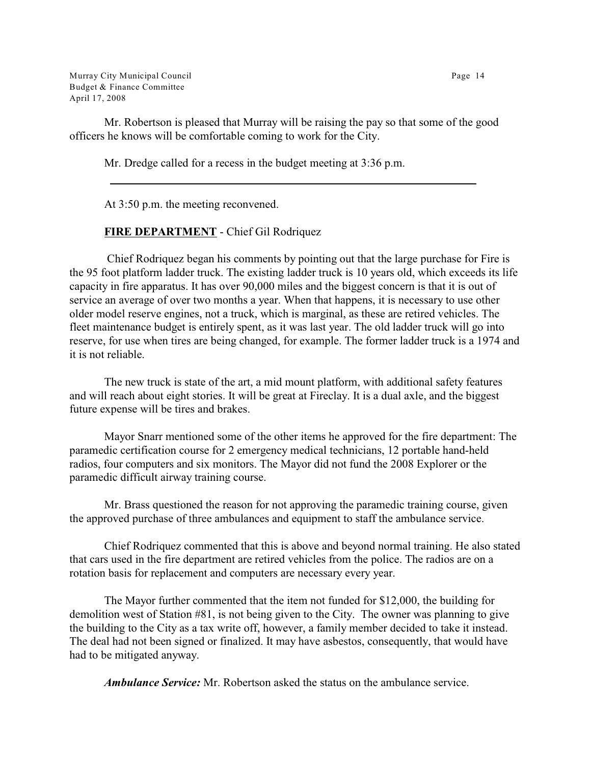Murray City Municipal Council Page 14 Budget & Finance Committee April 17, 2008

Mr. Robertson is pleased that Murray will be raising the pay so that some of the good officers he knows will be comfortable coming to work for the City.

Mr. Dredge called for a recess in the budget meeting at 3:36 p.m.

At 3:50 p.m. the meeting reconvened.

# **FIRE DEPARTMENT** - Chief Gil Rodriquez

 Chief Rodriquez began his comments by pointing out that the large purchase for Fire is the 95 foot platform ladder truck. The existing ladder truck is 10 years old, which exceeds its life capacity in fire apparatus. It has over 90,000 miles and the biggest concern is that it is out of service an average of over two months a year. When that happens, it is necessary to use other older model reserve engines, not a truck, which is marginal, as these are retired vehicles. The fleet maintenance budget is entirely spent, as it was last year. The old ladder truck will go into reserve, for use when tires are being changed, for example. The former ladder truck is a 1974 and it is not reliable.

The new truck is state of the art, a mid mount platform, with additional safety features and will reach about eight stories. It will be great at Fireclay. It is a dual axle, and the biggest future expense will be tires and brakes.

Mayor Snarr mentioned some of the other items he approved for the fire department: The paramedic certification course for 2 emergency medical technicians, 12 portable hand-held radios, four computers and six monitors. The Mayor did not fund the 2008 Explorer or the paramedic difficult airway training course.

Mr. Brass questioned the reason for not approving the paramedic training course, given the approved purchase of three ambulances and equipment to staff the ambulance service.

Chief Rodriquez commented that this is above and beyond normal training. He also stated that cars used in the fire department are retired vehicles from the police. The radios are on a rotation basis for replacement and computers are necessary every year.

The Mayor further commented that the item not funded for \$12,000, the building for demolition west of Station #81, is not being given to the City. The owner was planning to give the building to the City as a tax write off, however, a family member decided to take it instead. The deal had not been signed or finalized. It may have asbestos, consequently, that would have had to be mitigated anyway.

*Ambulance Service:* Mr. Robertson asked the status on the ambulance service.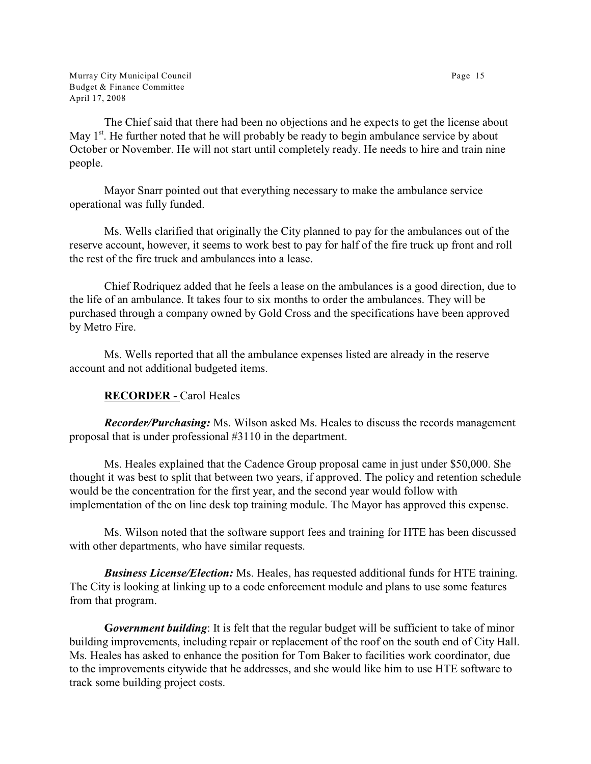Murray City Municipal Council **Page 15** Budget & Finance Committee April 17, 2008

The Chief said that there had been no objections and he expects to get the license about May  $1<sup>st</sup>$ . He further noted that he will probably be ready to begin ambulance service by about October or November. He will not start until completely ready. He needs to hire and train nine people.

Mayor Snarr pointed out that everything necessary to make the ambulance service operational was fully funded.

Ms. Wells clarified that originally the City planned to pay for the ambulances out of the reserve account, however, it seems to work best to pay for half of the fire truck up front and roll the rest of the fire truck and ambulances into a lease.

Chief Rodriquez added that he feels a lease on the ambulances is a good direction, due to the life of an ambulance. It takes four to six months to order the ambulances. They will be purchased through a company owned by Gold Cross and the specifications have been approved by Metro Fire.

Ms. Wells reported that all the ambulance expenses listed are already in the reserve account and not additional budgeted items.

# **RECORDER -** Carol Heales

*Recorder/Purchasing:* Ms. Wilson asked Ms. Heales to discuss the records management proposal that is under professional #3110 in the department.

Ms. Heales explained that the Cadence Group proposal came in just under \$50,000. She thought it was best to split that between two years, if approved. The policy and retention schedule would be the concentration for the first year, and the second year would follow with implementation of the on line desk top training module. The Mayor has approved this expense.

Ms. Wilson noted that the software support fees and training for HTE has been discussed with other departments, who have similar requests.

*Business License/Election:* Ms. Heales, has requested additional funds for HTE training. The City is looking at linking up to a code enforcement module and plans to use some features from that program.

**G***overnment building*: It is felt that the regular budget will be sufficient to take of minor building improvements, including repair or replacement of the roof on the south end of City Hall. Ms. Heales has asked to enhance the position for Tom Baker to facilities work coordinator, due to the improvements citywide that he addresses, and she would like him to use HTE software to track some building project costs.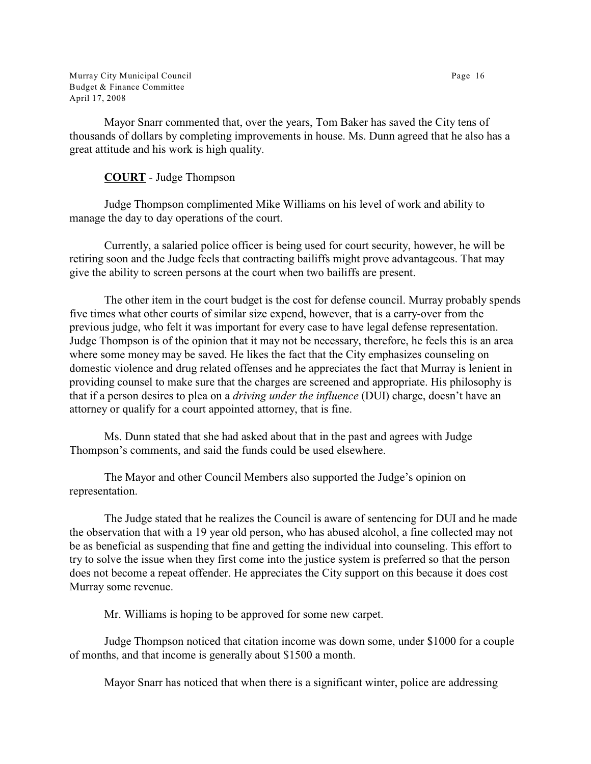Murray City Municipal Council **Page 16** Budget & Finance Committee April 17, 2008

Mayor Snarr commented that, over the years, Tom Baker has saved the City tens of thousands of dollars by completing improvements in house. Ms. Dunn agreed that he also has a great attitude and his work is high quality.

# **COURT** - Judge Thompson

Judge Thompson complimented Mike Williams on his level of work and ability to manage the day to day operations of the court.

Currently, a salaried police officer is being used for court security, however, he will be retiring soon and the Judge feels that contracting bailiffs might prove advantageous. That may give the ability to screen persons at the court when two bailiffs are present.

The other item in the court budget is the cost for defense council. Murray probably spends five times what other courts of similar size expend, however, that is a carry-over from the previous judge, who felt it was important for every case to have legal defense representation. Judge Thompson is of the opinion that it may not be necessary, therefore, he feels this is an area where some money may be saved. He likes the fact that the City emphasizes counseling on domestic violence and drug related offenses and he appreciates the fact that Murray is lenient in providing counsel to make sure that the charges are screened and appropriate. His philosophy is that if a person desires to plea on a *driving under the influence* (DUI) charge, doesn't have an attorney or qualify for a court appointed attorney, that is fine.

Ms. Dunn stated that she had asked about that in the past and agrees with Judge Thompson's comments, and said the funds could be used elsewhere.

The Mayor and other Council Members also supported the Judge's opinion on representation.

The Judge stated that he realizes the Council is aware of sentencing for DUI and he made the observation that with a 19 year old person, who has abused alcohol, a fine collected may not be as beneficial as suspending that fine and getting the individual into counseling. This effort to try to solve the issue when they first come into the justice system is preferred so that the person does not become a repeat offender. He appreciates the City support on this because it does cost Murray some revenue.

Mr. Williams is hoping to be approved for some new carpet.

Judge Thompson noticed that citation income was down some, under \$1000 for a couple of months, and that income is generally about \$1500 a month.

Mayor Snarr has noticed that when there is a significant winter, police are addressing